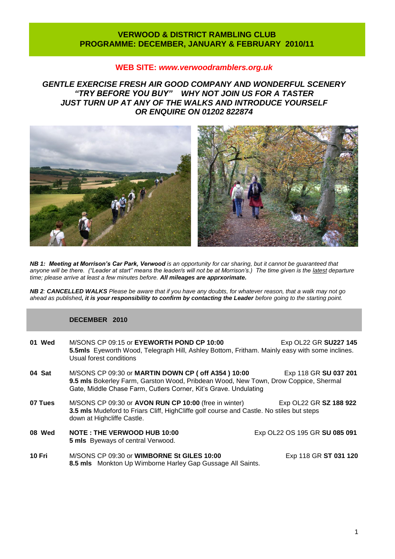# **VERWOOD & DISTRICT RAMBLING CLUB PROGRAMME: DECEMBER, JANUARY & FEBRUARY 2010/11**

# **WEB SITE:** *[www.verwoodramblers.org.uk](http://www.verwoodramblers.org.uk/)*

*GENTLE EXERCISE FRESH AIR GOOD COMPANY AND WONDERFUL SCENERY "TRY BEFORE YOU BUY" WHY NOT JOIN US FOR A TASTER JUST TURN UP AT ANY OF THE WALKS AND INTRODUCE YOURSELF OR ENQUIRE ON 01202 822874* 



*NB 1: Meeting at Morrison's Car Park, Verwood is an opportunity for car sharing, but it cannot be guaranteed that anyone will be there. ("Leader at start" means the leader/s will not be at Morrison's.) The time given is the latest departure time; please arrive at least a few minutes before. All mileages are apprxorimate.*

*NB 2: CANCELLED WALKS Please be aware that if you have any doubts, for whatever reason, that a walk may not go ahead as published, it is your responsibility to confirm by contacting the Leader before going to the starting point.*

## **DECEMBER 2010**

| 01 Wed  | M/SONS CP 09:15 or EYEWORTH POND CP 10:00<br>5.5mls Eyeworth Wood, Telegraph Hill, Ashley Bottom, Fritham. Mainly easy with some inclines.<br>Usual forest conditions                                                                    | Exp OL22 GR SU227 145         |
|---------|------------------------------------------------------------------------------------------------------------------------------------------------------------------------------------------------------------------------------------------|-------------------------------|
| 04 Sat  | M/SONS CP 09:30 or MARTIN DOWN CP ( off A354 ) 10:00<br>Exp 118 GR SU 037 201<br>9.5 mls Bokerley Farm, Garston Wood, Pribdean Wood, New Town, Drow Coppice, Shermal<br>Gate, Middle Chase Farm, Cutlers Corner, Kit's Grave. Undulating |                               |
| 07 Tues | M/SONS CP 09:30 or AVON RUN CP 10:00 (free in winter)<br>3.5 mls Mudeford to Friars Cliff, HighCliffe golf course and Castle. No stiles but steps<br>down at Highcliffe Castle.                                                          | Exp OL22 GR SZ 188 922        |
| 08 Wed  | <b>NOTE: THE VERWOOD HUB 10:00</b><br><b>5 mls</b> Byeways of central Verwood.                                                                                                                                                           | Exp OL22 OS 195 GR SU 085 091 |
| 10 Fri  | M/SONS CP 09:30 or WIMBORNE St GILES 10:00<br>8.5 mls Monkton Up Wimborne Harley Gap Gussage All Saints.                                                                                                                                 | Exp 118 GR ST 031 120         |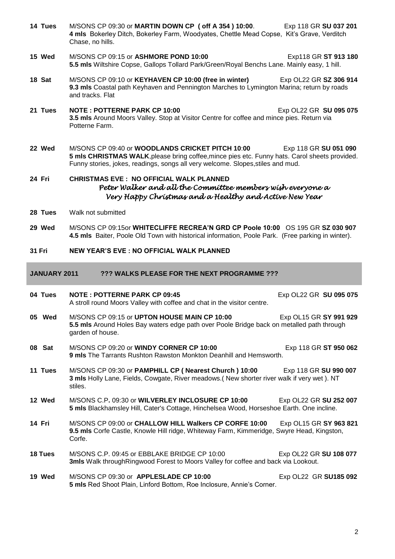**14 Tues** M/SONS CP 09:30 or **MARTIN DOWN CP ( off A 354 ) 10:00**. Exp 118 GR **SU 037 201 4 mls** Bokerley Ditch, Bokerley Farm, Woodyates, Chettle Mead Copse, Kit's Grave, Verditch Chase, no hills. **15 Wed** M/SONS CP 09:15 or **ASHMORE POND 10:00** Exp118 GR **ST 913 180 5.5 mls** Wiltshire Copse, Gallops Tollard Park/Green/Royal Benchs Lane. Mainly easy, 1 hill. **18 Sat** M/SONS CP 09:10 or **KEYHAVEN CP 10:00 (free in winter)** Exp OL22 GR **SZ 306 914 9.3 mls** Coastal path Keyhaven and Pennington Marches to Lymington Marina; return by roads and tracks. Flat **21 Tues NOTE : POTTERNE PARK CP 10:00** Exp OL22 GR **SU 095 075 3.5 mls** Around Moors Valley. Stop at Visitor Centre for coffee and mince pies. Return via Potterne Farm. **22 Wed** M/SONS CP 09:40 or **WOODLANDS CRICKET PITCH 10**:**00** Exp 118 GR **SU 051 090 5 mls CHRISTMAS WALK**,please bring coffee,mince pies etc. Funny hats. Carol sheets provided. Funny stories, jokes, readings, songs all very welcome. Slopes,stiles and mud. **24 Fri CHRISTMAS EVE : NO OFFICIAL WALK PLANNED** *Peter Walker and all the Committee members wish everyone a Very Happy Christmas and a Healthy and Active New Year*  **28 Tues** Walk not submitted **29 Wed** M/SONS CP 09:15or **WHITECLIFFE RECREA'N GRD CP Poole 10:00** OS 195 GR **SZ 030 907 4.5 mls** Baiter, Poole Old Town with historical information, Poole Park. (Free parking in winter). **31 Fri NEW YEAR'S EVE : NO OFFICIAL WALK PLANNED JANUARY 2011 ??? WALKS PLEASE FOR THE NEXT PROGRAMME ??? 04 Tues NOTE : POTTERNE PARK CP 09:45** Exp OL22 GR **SU 095 075** A stroll round Moors Valley with coffee and chat in the visitor centre. **05 Wed** M/SONS CP 09:15 or **UPTON HOUSE MAIN CP 10:00** Exp OL15 GR **SY 991 929 5.5 mls** Around Holes Bay waters edge path over Poole Bridge back on metalled path through garden of house. **08 Sat M/SONS CP 09:20 or WINDY CORNER CP 10:00** Exp 118 GR **ST 950 062 9 mls** The Tarrants Rushton Rawston Monkton Deanhill and Hemsworth. **11 Tues** M/SONS CP 09:30 or **PAMPHILL CP ( Nearest Church ) 10:00** Exp 118 GR **SU 990 007 3 mls** Holly Lane, Fields, Cowgate, River meadows.( New shorter river walk if very wet ). NT stiles. **12 Wed** M/SONS C.P**.** 09:30 or **WILVERLEY INCLOSURE CP 10:00** Exp OL22 GR **SU 252 007 5 mls** Blackhamsley Hill, Cater's Cottage, Hinchelsea Wood, Horseshoe Earth. One incline. **14 Fri** M/SONS CP 09:00 or **CHALLOW HILL Walkers CP CORFE 10:00** Exp OL15 GR **SY 963 821 9.5 mls** Corfe Castle, Knowle Hill ridge, Whiteway Farm, Kimmeridge, Swyre Head, Kingston, Corfe. **18 Tues** M/SONS C.P. 09:45 or EBBLAKE BRIDGE CP 10:00 Exp OL22 GR **SU 108 077 3mls** Walk throughRingwood Forest to Moors Valley for coffee and back via Lookout. **19 Wed** M/SONS CP 09:30 or **APPLESLADE CP 10:00** Exp OL22 GR **SU185 092 5 mls** Red Shoot Plain, Linford Bottom, Roe Inclosure, Annie's Corner.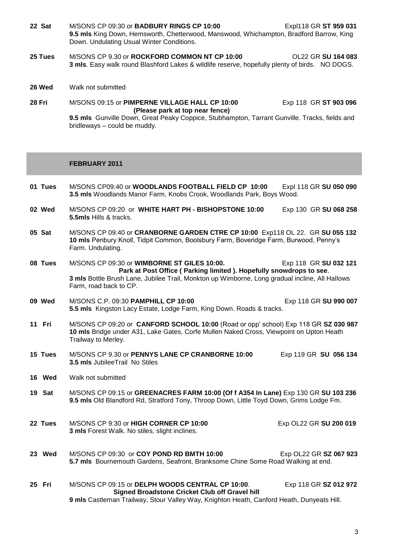- **22 Sat** M/SONS CP 09:30 or **BADBURY RINGS CP 10:00** Expl118 GR **ST 959 031 9.5 mls** King Down, Hemsworth, Chetterwood, Manswood, Whichampton, Bradford Barrow, King Down. Undulating Usual Winter Conditions.
- **25 Tues** M/SONS CP 9.30 or **ROCKFORD COMMON NT CP 10:00** OL22 GR **SU 164 083 3 mls**. Easy walk round Blashford Lakes & wildlife reserve, hopefully plenty of birds. NO DOGS.
- **26 Wed** Walk not submitted
- **28 Fri** M/SONS 09:15 or **PIMPERNE VILLAGE HALL CP 10:00** Exp 118 GR **ST 903 096 (Please park at top near fence) 9.5 mls** Gunville Down, Great Peaky Coppice, Stubhampton, Tarrant Gunville. Tracks, fields and bridleways – could be muddy.

### **FEBRUARY 2011**

**01 Tues** M/SONS CP09:40 or **WOODLANDS FOOTBALL FIELD CP 10:00** Expl 118 GR **SU 050 090 3.5 mls** Woodlands Manor Farm, Knobs Crook, Woodlands Park, Boys Wood. **02 Wed** M/SONS CP 09:20 or **WHITE HART PH - BISHOPSTONE 10:00** Exp 130 GR **SU 068 258 5.5mls** Hills & tracks. **05 Sat** M/SONS CP 09:40 or **CRANBORNE GARDEN CTRE CP 10:00** Exp118 OL 22. GR **SU 055 132 10 mls** Penbury Knoll, Tidpit Common, Boolsbury Farm, Boveridge Farm, Burwood, Penny's Farm. Undulating. **08 Tues M/SONS CP 09:30 or WIMBORNE ST GILES 10:00.** Exp 118 GR SU 032 121 **Park at Post Office ( Parking limited ). Hopefully snowdrops to see**. **3 mls** Bottle Brush Lane, Jubilee Trail, Monkton up Wimborne, Long gradual incline, All Hallows Farm, road back to CP. **09 Wed** M/SONS C.P. 09:30 **PAMPHILL CP 10:00** Exp 118 GR **SU 990 007 5.5 mls** Kingston Lacy Estate, Lodge Farm, King Down. Roads & tracks. **11 Fri** M/SONS CP 09:20 or **CANFORD SCHOOL 10:00** (Road or opp' school) Exp 118 GR **SZ 030 987 10 mls** Bridge under A31, Lake Gates, Corfe Mullen Naked Cross, Viewpoint on Upton Heath Trailway to Merley. **15 Tues** M/SONS CP 9.30 or **PENNYS LANE CP CRANBORNE 10:00** Exp 119 GR **SU 056 134 3.5 mls** JubileeTrail No Stiles **16 Wed** Walk not submitted **19 Sat** M/SONS CP 09:15 or **GREENACRES FARM 10:00 (Of f A354 In Lane)** Exp 130 GR **SU 103 236 9.5 mls** Old Blandford Rd, Stratford Tony, Throop Down, Little Toyd Down, Grims Lodge Fm. **22 Tues** M/SONS CP 9:30 or **HIGH CORNER CP 10:00** Exp OL22 GR **SU 200 019 3 mls** Forest Walk. No stiles, slight inclines. **23 Wed** M/SONS CP 09:30 or **COY POND RD BMTH 10:00** Exp OL22 GR **SZ 067 923 5.7 mls** Bournemouth Gardens, Seafront, Branksome Chine Some Road Walking at end. **25 Fri** M/SONS CP 09:15 or **DELPH WOODS CENTRAL CP 10:00**. Exp 118 GR **SZ 012 972 Signed Broadstone Cricket Club off Gravel hill 9 mls** Castleman Trailway, Stour Valley Way, Knighton Heath, Canford Heath, Dunyeats Hill.